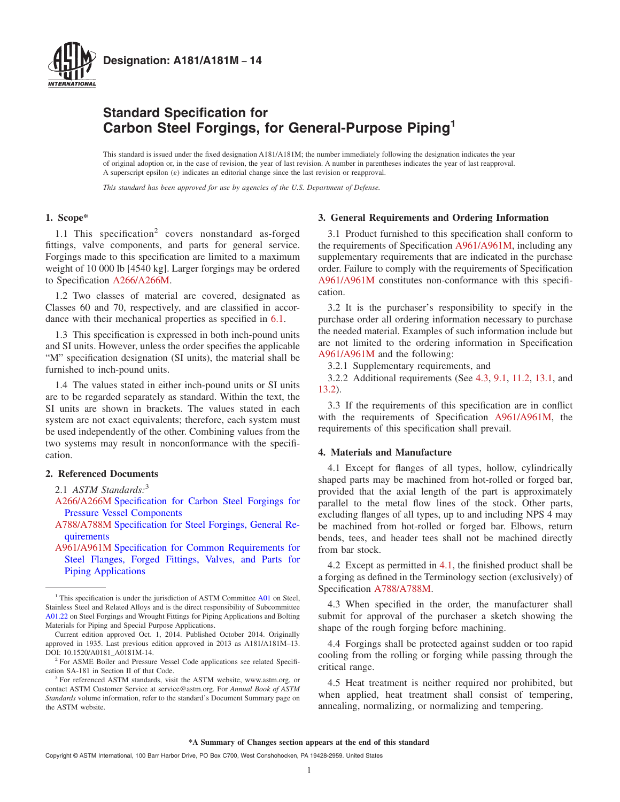

# **Standard Specification for Carbon Steel Forgings, for General-Purpose Piping<sup>1</sup>**

This standard is issued under the fixed designation A181/A181M; the number immediately following the designation indicates the year of original adoption or, in the case of revision, the year of last revision. A number in parentheses indicates the year of last reapproval. A superscript epsilon  $(\varepsilon)$  indicates an editorial change since the last revision or reapproval.

*This standard has been approved for use by agencies of the U.S. Department of Defense.*

## **1. Scope\***

1.1 This specification<sup>2</sup> covers nonstandard as-forged fittings, valve components, and parts for general service. Forgings made to this specification are limited to a maximum weight of 10 000 lb [4540 kg]. Larger forgings may be ordered to Specification A266/A266M.

1.2 Two classes of material are covered, designated as Classes 60 and 70, respectively, and are classified in accordance with their mechanical properties as specified in 6.1.

1.3 This specification is expressed in both inch-pound units and SI units. However, unless the order specifies the applicable "M" specification designation (SI units), the material shall be furnished to inch-pound units.

1.4 The values stated in either inch-pound units or SI units are to be regarded separately as standard. Within the text, the SI units are shown in brackets. The values stated in each system are not exact equivalents; therefore, each system must be used independently of the other. Combining values from the two systems may result in nonconformance with the specification.

## **2. Referenced Documents**

- 2.1 *ASTM Standards:*<sup>3</sup>
- A266/A266M Specification for Carbon Steel Forgings for Pressure Vessel Components
- A788/A788M Specification for Steel Forgings, General Requirements
- A961/A961M Specification for Common Requirements for Steel Flanges, Forged Fittings, Valves, and Parts for Piping Applications

#### **3. General Requirements and Ordering Information**

3.1 Product furnished to this specification shall conform to the requirements of Specification A961/A961M, including any supplementary requirements that are indicated in the purchase order. Failure to comply with the requirements of Specification A961/A961M constitutes non-conformance with this specification.

3.2 It is the purchaser's responsibility to specify in the purchase order all ordering information necessary to purchase the needed material. Examples of such information include but are not limited to the ordering information in Specification A961/A961M and the following:

3.2.1 Supplementary requirements, and

3.2.2 Additional requirements (See 4.3, 9.1, 11.2, 13.1, and 13.2).

3.3 If the requirements of this specification are in conflict with the requirements of Specification A961/A961M, the requirements of this specification shall prevail.

## **4. Materials and Manufacture**

4.1 Except for flanges of all types, hollow, cylindrically shaped parts may be machined from hot-rolled or forged bar, provided that the axial length of the part is approximately parallel to the metal flow lines of the stock. Other parts, excluding flanges of all types, up to and including NPS 4 may be machined from hot-rolled or forged bar. Elbows, return bends, tees, and header tees shall not be machined directly from bar stock.

4.2 Except as permitted in 4.1, the finished product shall be a forging as defined in the Terminology section (exclusively) of Specification A788/A788M.

4.3 When specified in the order, the manufacturer shall submit for approval of the purchaser a sketch showing the shape of the rough forging before machining.

4.4 Forgings shall be protected against sudden or too rapid cooling from the rolling or forging while passing through the critical range.

4.5 Heat treatment is neither required nor prohibited, but when applied, heat treatment shall consist of tempering, annealing, normalizing, or normalizing and tempering.

**\*A Summary of Changes section appears at the end of this standard**

<sup>&</sup>lt;sup>1</sup> This specification is under the jurisdiction of ASTM Committee A01 on Steel, Stainless Steel and Related Alloys and is the direct responsibility of Subcommittee A01.22 on Steel Forgings and Wrought Fittings for Piping Applications and Bolting Materials for Piping and Special Purpose Applications.

Current edition approved Oct. 1, 2014. Published October 2014. Originally approved in 1935. Last previous edition approved in 2013 as A181/A181M–13. DOI: 10.1520/A0181 A0181M-14.

<sup>2</sup> For ASME Boiler and Pressure Vessel Code applications see related Specification SA-181 in Section II of that Code.

<sup>&</sup>lt;sup>3</sup> For referenced ASTM standards, visit the ASTM website, www.astm.org, or contact ASTM Customer Service at service@astm.org. For *Annual Book of ASTM Standards* volume information, refer to the standard's Document Summary page on the ASTM website.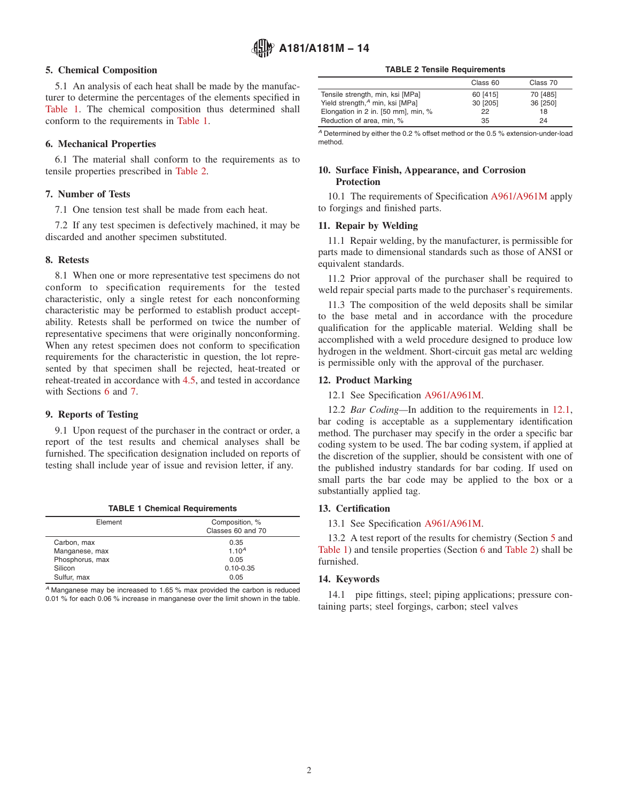### **5. Chemical Composition**

5.1 An analysis of each heat shall be made by the manufacturer to determine the percentages of the elements specified in Table 1. The chemical composition thus determined shall conform to the requirements in Table 1.

### **6. Mechanical Properties**

6.1 The material shall conform to the requirements as to tensile properties prescribed in Table 2.

## **7. Number of Tests**

7.1 One tension test shall be made from each heat.

7.2 If any test specimen is defectively machined, it may be discarded and another specimen substituted.

#### **8. Retests**

8.1 When one or more representative test specimens do not conform to specification requirements for the tested characteristic, only a single retest for each nonconforming characteristic may be performed to establish product acceptability. Retests shall be performed on twice the number of representative specimens that were originally nonconforming. When any retest specimen does not conform to specification requirements for the characteristic in question, the lot represented by that specimen shall be rejected, heat-treated or reheat-treated in accordance with 4.5, and tested in accordance with Sections 6 and 7.

#### **9. Reports of Testing**

9.1 Upon request of the purchaser in the contract or order, a report of the test results and chemical analyses shall be furnished. The specification designation included on reports of testing shall include year of issue and revision letter, if any.

**TABLE 1 Chemical Requirements**

| Element         | Composition, %<br>Classes 60 and 70 |
|-----------------|-------------------------------------|
| Carbon, max     | 0.35                                |
| Manganese, max  | $1.10^{A}$                          |
| Phosphorus, max | 0.05                                |
| Silicon         | $0.10 - 0.35$                       |
| Sulfur, max     | 0.05                                |
|                 |                                     |

*<sup>A</sup>* Manganese may be increased to 1.65 % max provided the carbon is reduced 0.01 % for each 0.06 % increase in manganese over the limit shown in the table.

| <b>TABLE 2 Tensile Requirements</b> |  |
|-------------------------------------|--|
|-------------------------------------|--|

|                                             | Class 60 | Class 70 |
|---------------------------------------------|----------|----------|
| Tensile strength, min, ksi [MPa]            | 60 [415] | 70 [485] |
| Yield strength, <sup>4</sup> min, ksi [MPa] | 30 [205] | 36 [250] |
| Elongation in 2 in. [50 mm], min, %         | 22       | 18       |
| Reduction of area, min, %                   | 35       | 24       |

*<sup>A</sup>* Determined by either the 0.2 % offset method or the 0.5 % extension-under-load method.

## **10. Surface Finish, Appearance, and Corrosion Protection**

10.1 The requirements of Specification A961/A961M apply to forgings and finished parts.

#### **11. Repair by Welding**

11.1 Repair welding, by the manufacturer, is permissible for parts made to dimensional standards such as those of ANSI or equivalent standards.

11.2 Prior approval of the purchaser shall be required to weld repair special parts made to the purchaser's requirements.

11.3 The composition of the weld deposits shall be similar to the base metal and in accordance with the procedure qualification for the applicable material. Welding shall be accomplished with a weld procedure designed to produce low hydrogen in the weldment. Short-circuit gas metal arc welding is permissible only with the approval of the purchaser.

#### **12. Product Marking**

12.1 See Specification A961/A961M.

12.2 *Bar Coding—*In addition to the requirements in 12.1, bar coding is acceptable as a supplementary identification method. The purchaser may specify in the order a specific bar coding system to be used. The bar coding system, if applied at the discretion of the supplier, should be consistent with one of the published industry standards for bar coding. If used on small parts the bar code may be applied to the box or a substantially applied tag.

#### **13. Certification**

13.1 See Specification A961/A961M.

13.2 A test report of the results for chemistry (Section 5 and Table 1) and tensile properties (Section 6 and Table 2) shall be furnished.

#### **14. Keywords**

14.1 pipe fittings, steel; piping applications; pressure containing parts; steel forgings, carbon; steel valves